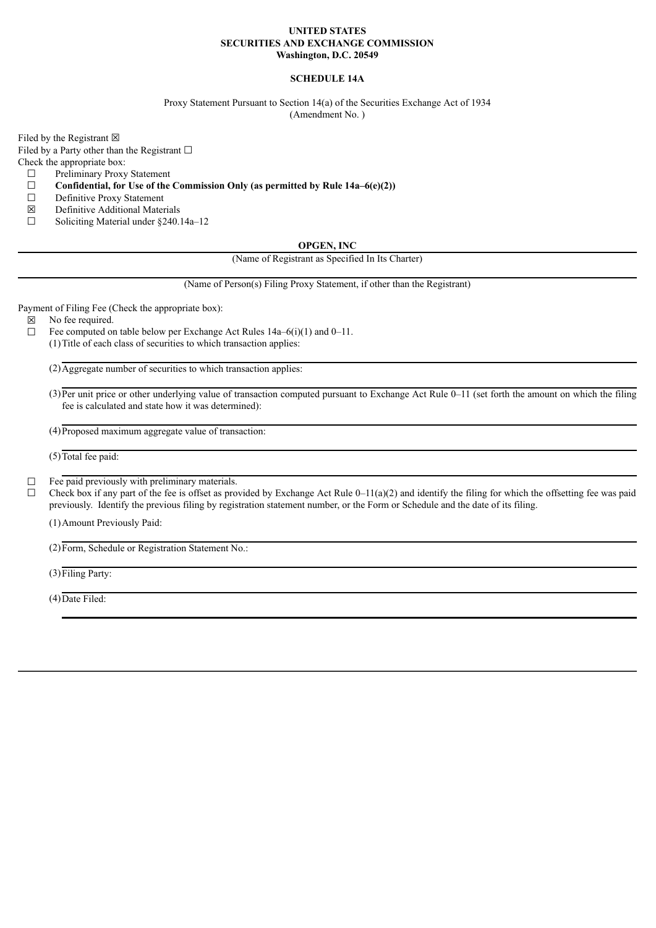#### **UNITED STATES SECURITIES AND EXCHANGE COMMISSION Washington, D.C. 20549**

## **SCHEDULE 14A**

Proxy Statement Pursuant to Section 14(a) of the Securities Exchange Act of 1934 (Amendment No. )

Filed by the Registrant  $\boxtimes$ 

Filed by a Party other than the Registrant  $□$ 

Check the appropriate box:

- $\Box$  Preliminary Proxy Statement<br> $\Box$  Confidential, for Use of the
- ☐ **Confidential, for Use of the Commission Only (as permitted by Rule 14a–6(e)(2))**
- ☐ Definitive Proxy Statement
- ☒ Definitive Additional Materials
- ☐ Soliciting Material under §240.14a–12

#### **OPGEN, INC**

(Name of Registrant as Specified In Its Charter)

(Name of Person(s) Filing Proxy Statement, if other than the Registrant)

Payment of Filing Fee (Check the appropriate box):

☒ No fee required.

 $\Box$  Fee computed on table below per Exchange Act Rules 14a–6(i)(1) and 0–11. (1)Title of each class of securities to which transaction applies:

 $(2)$ Aggregate number of securities to which transaction applies:

(3) Per unit price or other underlying value of transaction computed pursuant to Exchange Act Rule 0–11 (set forth the amount on which the filing fee is calculated and state how it was determined):

(4)Proposed maximum aggregate value of transaction:

 $(5)$ Total fee paid:

# $\Box$  Fee paid previously with preliminary materials.

 $\Box$  Check box if any part of the fee is offset as provided by Exchange Act Rule 0–11(a)(2) and identify the filing for which the offsetting fee was paid previously. Identify the previous filing by registration statement number, or the Form or Schedule and the date of its filing.

(1)Amount Previously Paid:

(2)Form, Schedule or Registration Statement No.:

(3)Filing Party:

(4)Date Filed: